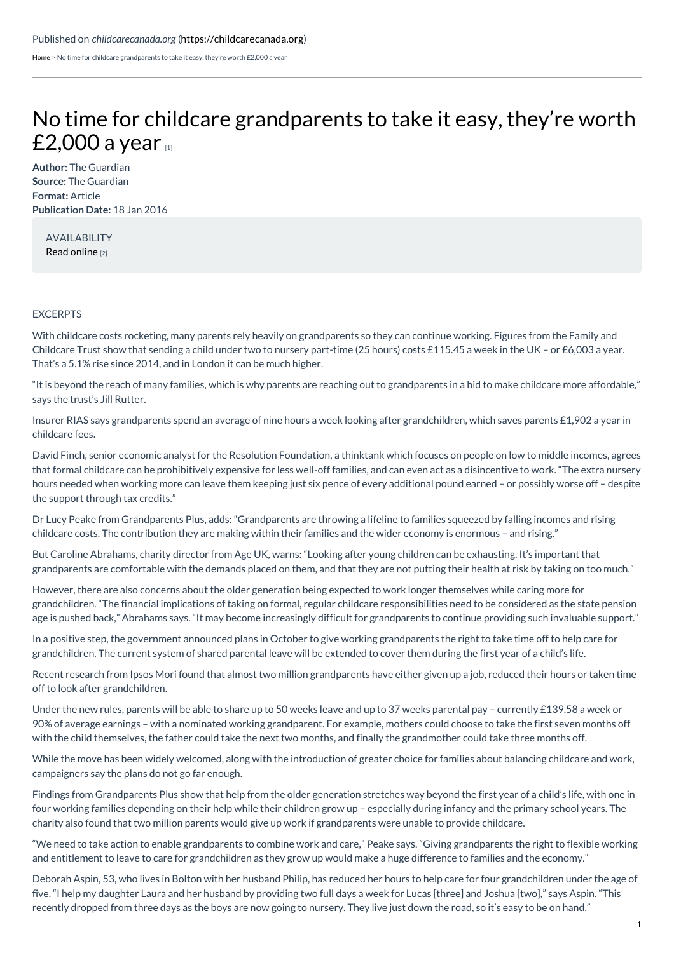[Home](https://childcarecanada.org/) > No time for childcare grandparents to take it easy, they're worth £2,000 a year

## No time for childcare [grandparents](https://childcarecanada.org/documents/child-care-news/16/01/no-time-childcare-grandparents-take-it-easy-they%25E2%2580%2599re-worth-%25C2%25A32000-year) to take it easy, they're worth £2,000 a year [1]

**Author:** The Guardian **Source:** The Guardian **Format:** Article **Publication Date:** 18 Jan 2016

AVAILABILITY Read [online](https://www.theguardian.com/money/2016/jan/18/childcare-grandparents-worth-2000-a-year-hard-pressed-parents) [2]

## EXCERPTS

With childcare costs rocketing, many parents rely heavily on grandparents so they can continue working. Figures from the Family and Childcare Trust show that sending a child under two to nursery part-time (25 hours) costs £115.45 a week in the UK – or £6,003 a year. That's a 5.1% rise since 2014, and in London it can be much higher.

"It is beyond the reach of many families, which is why parents are reaching out to grandparents in a bid to make childcare more affordable," says the trust's Jill Rutter.

Insurer RIAS says grandparents spend an average of nine hours a week looking after grandchildren, which saves parents £1,902 a year in childcare fees.

David Finch, senior economic analyst for the Resolution Foundation, a thinktank which focuses on people on low to middle incomes, agrees that formal childcare can be prohibitively expensive for less well-off families, and can even act as a disincentive to work. "The extra nursery hours needed when working more can leave them keeping just six pence of every additional pound earned – or possibly worse off – despite the support through tax credits."

Dr Lucy Peake from Grandparents Plus, adds: "Grandparents are throwing a lifeline to families squeezed by falling incomes and rising childcare costs. The contribution they are making within their families and the wider economy is enormous – and rising."

But Caroline Abrahams, charity director from Age UK, warns: "Looking after young children can be exhausting. It's important that grandparents are comfortable with the demands placed on them, and that they are not putting their health at risk by taking on too much."

However, there are also concerns about the older generation being expected to work longer themselves while caring more for grandchildren. "The financial implications of taking on formal, regular childcare responsibilities need to be considered as the state pension age is pushed back," Abrahams says. "It may become increasingly difficult for grandparents to continue providing such invaluable support."

In a positive step, the government announced plans in October to give working grandparents the right to take time off to help care for grandchildren. The current system of shared parental leave will be extended to cover them during the first year of a child's life.

Recent research from Ipsos Mori found that almost two million grandparents have either given up a job, reduced their hours or taken time off to look after grandchildren.

Under the new rules, parents will be able to share up to 50 weeks leave and up to 37 weeks parental pay – currently £139.58 a week or 90% of average earnings – with a nominated working grandparent. For example, mothers could choose to take the first seven months off with the child themselves, the father could take the next two months, and finally the grandmother could take three months off.

While the move has been widely welcomed, along with the introduction of greater choice for families about balancing childcare and work, campaigners say the plans do not go far enough.

Findings from Grandparents Plus show that help from the older generation stretches way beyond the first year of a child's life, with one in four working families depending on their help while their children grow up – especially during infancy and the primary school years. The charity also found that two million parents would give up work if grandparents were unable to provide childcare.

"We need to take action to enable grandparents to combine work and care," Peake says. "Giving grandparents the right to flexible working and entitlement to leave to care for grandchildren as they grow up would make a huge difference to families and the economy."

Deborah Aspin, 53, who lives in Bolton with her husband Philip, has reduced her hours to help care for four grandchildren under the age of five. "I help my daughter Laura and her husband by providing two full days a week for Lucas [three] and Joshua [two]," says Aspin. "This recently dropped from three days as the boys are now going to nursery. They live just down the road, so it's easy to be on hand."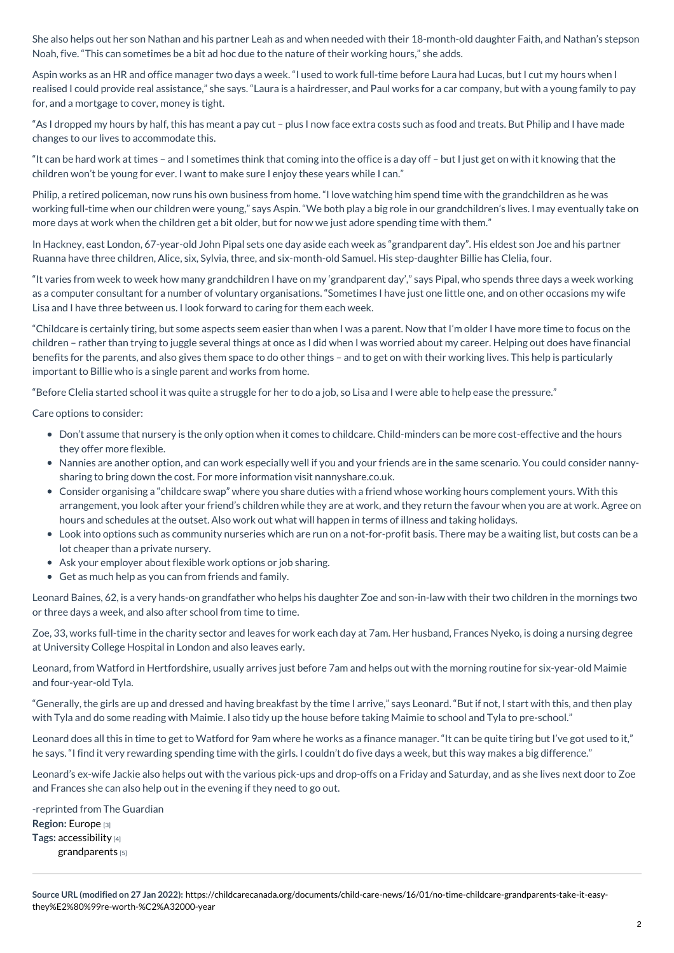She also helps out her son Nathan and his partner Leah as and when needed with their 18-month-old daughter Faith, and Nathan's stepson Noah, five. "This can sometimes be a bit ad hoc due to the nature of their working hours," she adds.

Aspin works as an HR and office manager two days a week. "I used to work full-time before Laura had Lucas, but I cut my hours when I realised I could provide real assistance," she says. "Laura is a hairdresser, and Paul works for a car company, but with a young family to pay for, and a mortgage to cover, money is tight.

"As I dropped my hours by half, this has meant a pay cut – plus I now face extra costs such as food and treats. But Philip and I have made changes to our lives to accommodate this.

"It can be hard work at times – and I sometimes think that coming into the office is a day off – but I just get on with it knowing that the children won't be young for ever. I want to make sure I enjoy these years while I can."

Philip, a retired policeman, now runs his own business from home. "I love watching him spend time with the grandchildren as he was working full-time when our children were young," says Aspin. "We both play a big role in our grandchildren's lives. I may eventually take on more days at work when the children get a bit older, but for now we just adore spending time with them."

In Hackney, east London, 67-year-old John Pipal sets one day aside each week as "grandparent day". His eldest son Joe and his partner Ruanna have three children, Alice, six, Sylvia, three, and six-month-old Samuel. His step-daughter Billie has Clelia, four.

"It varies from week to week how many grandchildren I have on my 'grandparent day'," says Pipal, who spends three days a week working as a computer consultant for a number of voluntary organisations. "Sometimes I have just one little one, and on other occasions my wife Lisa and I have three between us. I look forward to caring for them each week.

"Childcare is certainly tiring, but some aspects seem easier than when I was a parent. Now that I'm older I have more time to focus on the children – rather than trying to juggle several things at once as I did when I was worried about my career. Helping out does have financial benefits for the parents, and also gives them space to do other things – and to get on with their working lives. This help is particularly important to Billie who is a single parent and works from home.

"Before Clelia started school it was quite a struggle for her to do a job, so Lisa and I were able to help ease the pressure."

Care options to consider:

- Don't assume that nursery is the only option when it comes to childcare. Child-minders can be more cost-effective and the hours they offer more flexible.
- Nannies are another option, and can work especially well if you and your friends are in the same scenario. You could consider nannysharing to bring down the cost. For more information visit nannyshare.co.uk.
- Consider organising a "childcare swap" where you share duties with a friend whose working hours complement yours. With this arrangement, you look after your friend's children while they are at work, and they return the favour when you are at work. Agree on hours and schedules at the outset. Also work out what will happen in terms of illness and taking holidays.
- Look into options such as community nurseries which are run on a not-for-profit basis. There may be a waiting list, but costs can be a lot cheaper than a private nursery.
- Ask your employer about flexible work options or job sharing.
- Get as much help as you can from friends and family.

Leonard Baines, 62, is a very hands-on grandfather who helps his daughter Zoe and son-in-law with their two children in the mornings two or three days a week, and also after school from time to time.

Zoe, 33, works full-time in the charity sector and leaves for work each day at 7am. Her husband, Frances Nyeko, is doing a nursing degree at University College Hospital in London and also leaves early.

Leonard, from Watford in Hertfordshire, usually arrives just before 7am and helps out with the morning routine for six-year-old Maimie and four-year-old Tyla.

"Generally, the girls are up and dressed and having breakfast by the time I arrive," says Leonard. "But if not, I start with this, and then play with Tyla and do some reading with Maimie. I also tidy up the house before taking Maimie to school and Tyla to pre-school."

Leonard does all this in time to get to Watford for 9am where he works as a finance manager. "It can be quite tiring but I've got used to it," he says. "I find it very rewarding spending time with the girls. I couldn't do five days a week, but this way makes a big difference."

Leonard's ex-wife Jackie also helps out with the various pick-ups and drop-offs on a Friday and Saturday, and as she lives next door to Zoe and Frances she can also help out in the evening if they need to go out.

**Region:** [Europe](https://childcarecanada.org/category/region/europe) [3] **Tags:** [accessibility](https://childcarecanada.org/category/tags/accessibility) [4] [grandparents](https://childcarecanada.org/category/tags/grandparents) [5] -reprinted from The Guardian